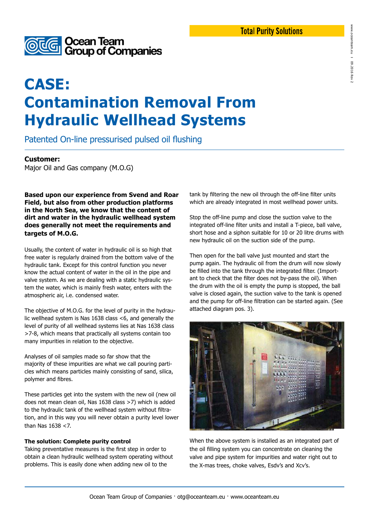

# **CASE: Contamination Removal From Hydraulic Wellhead Systems**

Patented On-line pressurised pulsed oil flushing

### **Customer:**

Major Oil and Gas company (M.O.G)

**Based upon our experience from Svend and Roar Field, but also from other production platforms in the North Sea, we know that the content of dirt and water in the hydraulic wellhead system does generally not meet the requirements and targets of M.O.G.**

Usually, the content of water in hydraulic oil is so high that free water is regularly drained from the bottom valve of the hydraulic tank. Except for this control function you never know the actual content of water in the oil in the pipe and valve system. As we are dealing with a static hydraulic system the water, which is mainly fresh water, enters with the atmospheric air, i.e. condensed water.

The objective of M.O.G. for the level of purity in the hydraulic wellhead system is Nas 1638 class <6, and generally the level of purity of all wellhead systems lies at Nas 1638 class >7-8, which means that practically all systems contain too many impurities in relation to the objective.

Analyses of oil samples made so far show that the majority of these impurities are what we call pouring particles which means particles mainly consisting of sand, silica, polymer and fibres.

These particles get into the system with the new oil (new oil does not mean clean oil, Nas 1638 class >7) which is added to the hydraulic tank of the wellhead system without filtration, and in this way you will never obtain a purity level lower than Nas 1638 <7.

#### **The solution: Complete purity control**

Taking preventative measures is the first step in order to obtain a clean hydraulic wellhead system operating without problems. This is easily done when adding new oil to the

tank by filtering the new oil through the off-line filter units which are already integrated in most wellhead power units.

Stop the off-line pump and close the suction valve to the integrated off-line filter units and install a T-piece, ball valve, short hose and a siphon suitable for 10 or 20 litre drums with new hydraulic oil on the suction side of the pump.

Then open for the ball valve just mounted and start the pump again. The hydraulic oil from the drum will now slowly be filled into the tank through the integrated filter. (Important to check that the filter does not by-pass the oil). When the drum with the oil is empty the pump is stopped, the ball valve is closed again, the suction valve to the tank is opened and the pump for off-line filtration can be started again. (See attached diagram pos. 3).



When the above system is installed as an integrated part of the oil filling system you can concentrate on cleaning the valve and pipe system for impurities and water right out to the X-mas trees, choke valves, Esdv's and Xcv's.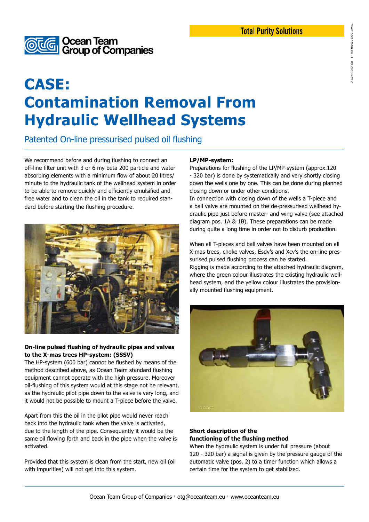

# **CASE: Contamination Removal From Hydraulic Wellhead Systems**

Patented On-line pressurised pulsed oil flushing

We recommend before and during flushing to connect an off-line filter unit with 3 or 6 my beta 200 particle and water absorbing elements with a minimum flow of about 20 litres/ minute to the hydraulic tank of the wellhead system in order to be able to remove quickly and efficiently emulsified and free water and to clean the oil in the tank to required standard before starting the flushing procedure.



#### **On-line pulsed flushing of hydraulic pipes and valves to the X-mas trees HP-system: (SSSV)**

The HP-system (600 bar) cannot be flushed by means of the method described above, as Ocean Team standard flushing equipment cannot operate with the high pressure. Moreover oil-flushing of this system would at this stage not be relevant, as the hydraulic pilot pipe down to the valve is very long, and it would not be possible to mount a T-piece before the valve.

Apart from this the oil in the pilot pipe would never reach back into the hydraulic tank when the valve is activated, due to the length of the pipe. Consequently it would be the same oil flowing forth and back in the pipe when the valve is activated.

Provided that this system is clean from the start, new oil (oil with impurities) will not get into this system.

#### **LP/MP-system:**

Preparations for flushing of the LP/MP-system (approx.120 - 320 bar) is done by systematically and very shortly closing down the wells one by one. This can be done during planned closing down or under other conditions.

In connection with closing down of the wells a T-piece and a ball valve are mounted on the de-pressurised wellhead hydraulic pipe just before master- and wing valve (see attached diagram pos. 1A & 1B). These preparations can be made during quite a long time in order not to disturb production.

When all T-pieces and ball valves have been mounted on all X-mas trees, choke valves, Esdv's and Xcv's the on-line pressurised pulsed flushing process can be started. Rigging is made according to the attached hydraulic diagram, where the green colour illustrates the existing hydraulic wellhead system, and the yellow colour illustrates the provisionally mounted flushing equipment.



#### **Short description of the functioning of the flushing method**

When the hydraulic system is under full pressure (about 120 - 320 bar) a signal is given by the pressure gauge of the automatic valve (pos. 2) to a timer function which allows a certain time for the system to get stabilized.